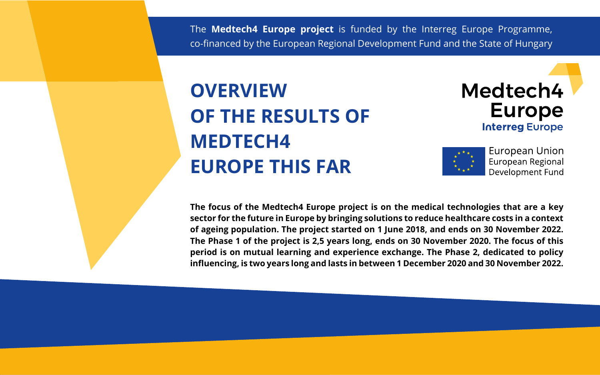The **Medtech4 Europe project** is funded by the Interreg Europe Programme, co-financed by the European Regional Development Fund and the State of Hungary

# **OVERVIEW OF THE RESULTS OF MEDTECH4 EUROPE THIS FAR**

**The focus of the Medtech4 Europe project is on the medical technologies that are a key sector for the future in Europe by bringing solutions to reduce healthcare costs in a context of ageing population. The project started on 1 June 2018, and ends on 30 November 2022. The Phase 1 of the project is 2,5 years long, ends on 30 November 2020. The focus of this period is on mutual learning and experience exchange. The Phase 2, dedicated to policy influencing, is two years long and lasts in between 1 December 2020 and 30 November 2022.**





**European Union European Regional** Development Fund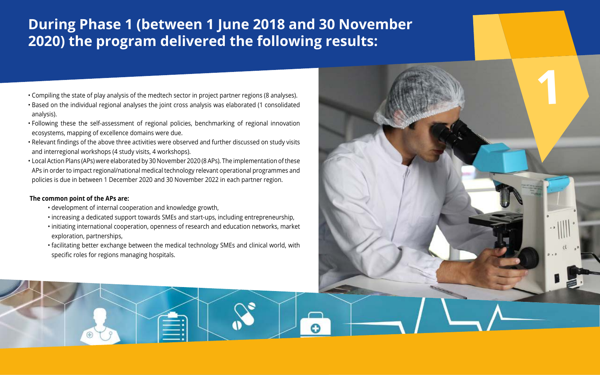## **During Phase 1 (between 1 June 2018 and 30 November 2020) the program delivered the following results:**



- Compiling the state of play analysis of the medtech sector in
- Based on the individual regional analyses the joint cross analysis was elaborated (1 consolidated analysis).
- Following these the self-assessment of regional policies, benchmarking of regional innovation ecosystems, mapping of excellence domains were due.
- Relevant findings of the above three activities were observed and further discussed on study visits and interregional workshops (4 study visits, 4 workshops).
- Local Action Plans (APs) were elaborated by 30 November 2020 (8 APs). The implementation of these APs in order to impact regional/national medical technology relevant operational programmes and policies is due in between 1 December 2020 and 30 November 2022 in each partner region.

### **The common point of the APs are:**

- development of internal cooperation and knowledge growth,
- increasing a dedicated support towards SMEs and start-ups, including entrepreneurship,
- initiating international cooperation, openness of research and education networks, market exploration, partnerships,
- facilitating better exchange between the medical technology SMEs and clinical world, with specific roles for regions managing hospitals.